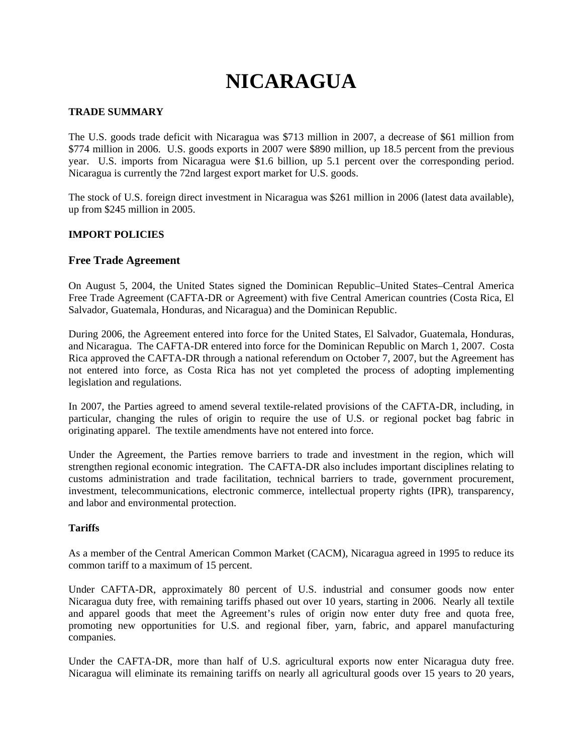# **NICARAGUA**

## **TRADE SUMMARY**

The U.S. goods trade deficit with Nicaragua was \$713 million in 2007, a decrease of \$61 million from \$774 million in 2006. U.S. goods exports in 2007 were \$890 million, up 18.5 percent from the previous year. U.S. imports from Nicaragua were \$1.6 billion, up 5.1 percent over the corresponding period. Nicaragua is currently the 72nd largest export market for U.S. goods.

The stock of U.S. foreign direct investment in Nicaragua was \$261 million in 2006 (latest data available), up from \$245 million in 2005.

## **IMPORT POLICIES**

## **Free Trade Agreement**

On August 5, 2004, the United States signed the Dominican Republic–United States–Central America Free Trade Agreement (CAFTA-DR or Agreement) with five Central American countries (Costa Rica, El Salvador, Guatemala, Honduras, and Nicaragua) and the Dominican Republic.

During 2006, the Agreement entered into force for the United States, El Salvador, Guatemala, Honduras, and Nicaragua. The CAFTA-DR entered into force for the Dominican Republic on March 1, 2007. Costa Rica approved the CAFTA-DR through a national referendum on October 7, 2007, but the Agreement has not entered into force, as Costa Rica has not yet completed the process of adopting implementing legislation and regulations.

In 2007, the Parties agreed to amend several textile-related provisions of the CAFTA-DR, including, in particular, changing the rules of origin to require the use of U.S. or regional pocket bag fabric in originating apparel. The textile amendments have not entered into force.

Under the Agreement, the Parties remove barriers to trade and investment in the region, which will strengthen regional economic integration. The CAFTA-DR also includes important disciplines relating to customs administration and trade facilitation, technical barriers to trade, government procurement, investment, telecommunications, electronic commerce, intellectual property rights (IPR), transparency, and labor and environmental protection.

#### **Tariffs**

As a member of the Central American Common Market (CACM), Nicaragua agreed in 1995 to reduce its common tariff to a maximum of 15 percent.

Under CAFTA-DR, approximately 80 percent of U.S. industrial and consumer goods now enter Nicaragua duty free, with remaining tariffs phased out over 10 years, starting in 2006. Nearly all textile and apparel goods that meet the Agreement's rules of origin now enter duty free and quota free, promoting new opportunities for U.S. and regional fiber, yarn, fabric, and apparel manufacturing companies.

Under the CAFTA-DR, more than half of U.S. agricultural exports now enter Nicaragua duty free. Nicaragua will eliminate its remaining tariffs on nearly all agricultural goods over 15 years to 20 years,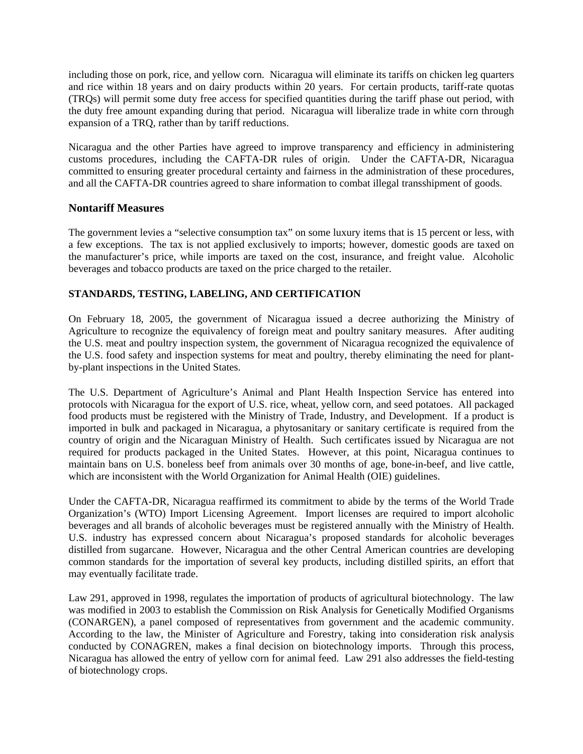including those on pork, rice, and yellow corn. Nicaragua will eliminate its tariffs on chicken leg quarters and rice within 18 years and on dairy products within 20 years. For certain products, tariff-rate quotas (TRQs) will permit some duty free access for specified quantities during the tariff phase out period, with the duty free amount expanding during that period. Nicaragua will liberalize trade in white corn through expansion of a TRQ, rather than by tariff reductions.

Nicaragua and the other Parties have agreed to improve transparency and efficiency in administering customs procedures, including the CAFTA-DR rules of origin. Under the CAFTA-DR, Nicaragua committed to ensuring greater procedural certainty and fairness in the administration of these procedures, and all the CAFTA-DR countries agreed to share information to combat illegal transshipment of goods.

# **Nontariff Measures**

The government levies a "selective consumption tax" on some luxury items that is 15 percent or less, with a few exceptions. The tax is not applied exclusively to imports; however, domestic goods are taxed on the manufacturer's price, while imports are taxed on the cost, insurance, and freight value. Alcoholic beverages and tobacco products are taxed on the price charged to the retailer.

# **STANDARDS, TESTING, LABELING, AND CERTIFICATION**

On February 18, 2005, the government of Nicaragua issued a decree authorizing the Ministry of Agriculture to recognize the equivalency of foreign meat and poultry sanitary measures. After auditing the U.S. meat and poultry inspection system, the government of Nicaragua recognized the equivalence of the U.S. food safety and inspection systems for meat and poultry, thereby eliminating the need for plantby-plant inspections in the United States.

The U.S. Department of Agriculture's Animal and Plant Health Inspection Service has entered into protocols with Nicaragua for the export of U.S. rice, wheat, yellow corn, and seed potatoes. All packaged food products must be registered with the Ministry of Trade, Industry, and Development. If a product is imported in bulk and packaged in Nicaragua, a phytosanitary or sanitary certificate is required from the country of origin and the Nicaraguan Ministry of Health. Such certificates issued by Nicaragua are not required for products packaged in the United States. However, at this point, Nicaragua continues to maintain bans on U.S. boneless beef from animals over 30 months of age, bone-in-beef, and live cattle, which are inconsistent with the World Organization for Animal Health (OIE) guidelines.

Under the CAFTA-DR, Nicaragua reaffirmed its commitment to abide by the terms of the World Trade Organization's (WTO) Import Licensing Agreement. Import licenses are required to import alcoholic beverages and all brands of alcoholic beverages must be registered annually with the Ministry of Health. U.S. industry has expressed concern about Nicaragua's proposed standards for alcoholic beverages distilled from sugarcane. However, Nicaragua and the other Central American countries are developing common standards for the importation of several key products, including distilled spirits, an effort that may eventually facilitate trade.

Law 291, approved in 1998, regulates the importation of products of agricultural biotechnology. The law was modified in 2003 to establish the Commission on Risk Analysis for Genetically Modified Organisms (CONARGEN), a panel composed of representatives from government and the academic community. According to the law, the Minister of Agriculture and Forestry, taking into consideration risk analysis conducted by CONAGREN, makes a final decision on biotechnology imports. Through this process, Nicaragua has allowed the entry of yellow corn for animal feed. Law 291 also addresses the field-testing of biotechnology crops.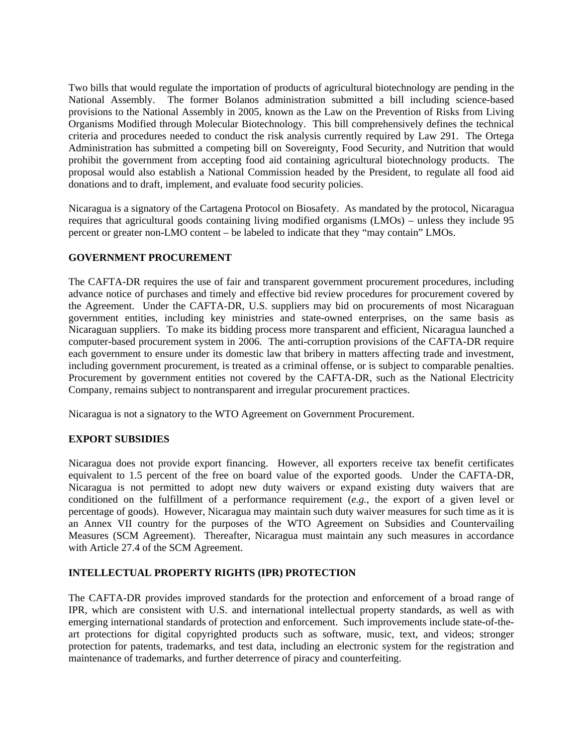Two bills that would regulate the importation of products of agricultural biotechnology are pending in the National Assembly. The former Bolanos administration submitted a bill including science-based provisions to the National Assembly in 2005, known as the Law on the Prevention of Risks from Living Organisms Modified through Molecular Biotechnology. This bill comprehensively defines the technical criteria and procedures needed to conduct the risk analysis currently required by Law 291. The Ortega Administration has submitted a competing bill on Sovereignty, Food Security, and Nutrition that would prohibit the government from accepting food aid containing agricultural biotechnology products. The proposal would also establish a National Commission headed by the President, to regulate all food aid donations and to draft, implement, and evaluate food security policies.

Nicaragua is a signatory of the Cartagena Protocol on Biosafety. As mandated by the protocol, Nicaragua requires that agricultural goods containing living modified organisms (LMOs) – unless they include 95 percent or greater non-LMO content – be labeled to indicate that they "may contain" LMOs.

#### **GOVERNMENT PROCUREMENT**

The CAFTA-DR requires the use of fair and transparent government procurement procedures, including advance notice of purchases and timely and effective bid review procedures for procurement covered by the Agreement. Under the CAFTA-DR, U.S. suppliers may bid on procurements of most Nicaraguan government entities, including key ministries and state-owned enterprises, on the same basis as Nicaraguan suppliers. To make its bidding process more transparent and efficient, Nicaragua launched a computer-based procurement system in 2006. The anti-corruption provisions of the CAFTA-DR require each government to ensure under its domestic law that bribery in matters affecting trade and investment, including government procurement, is treated as a criminal offense, or is subject to comparable penalties. Procurement by government entities not covered by the CAFTA-DR, such as the National Electricity Company, remains subject to nontransparent and irregular procurement practices.

Nicaragua is not a signatory to the WTO Agreement on Government Procurement.

## **EXPORT SUBSIDIES**

Nicaragua does not provide export financing. However, all exporters receive tax benefit certificates equivalent to 1.5 percent of the free on board value of the exported goods. Under the CAFTA-DR, Nicaragua is not permitted to adopt new duty waivers or expand existing duty waivers that are conditioned on the fulfillment of a performance requirement (*e.g.*, the export of a given level or percentage of goods). However, Nicaragua may maintain such duty waiver measures for such time as it is an Annex VII country for the purposes of the WTO Agreement on Subsidies and Countervailing Measures (SCM Agreement). Thereafter, Nicaragua must maintain any such measures in accordance with Article 27.4 of the SCM Agreement.

## **INTELLECTUAL PROPERTY RIGHTS (IPR) PROTECTION**

The CAFTA-DR provides improved standards for the protection and enforcement of a broad range of IPR, which are consistent with U.S. and international intellectual property standards, as well as with emerging international standards of protection and enforcement. Such improvements include state-of-theart protections for digital copyrighted products such as software, music, text, and videos; stronger protection for patents, trademarks, and test data, including an electronic system for the registration and maintenance of trademarks, and further deterrence of piracy and counterfeiting.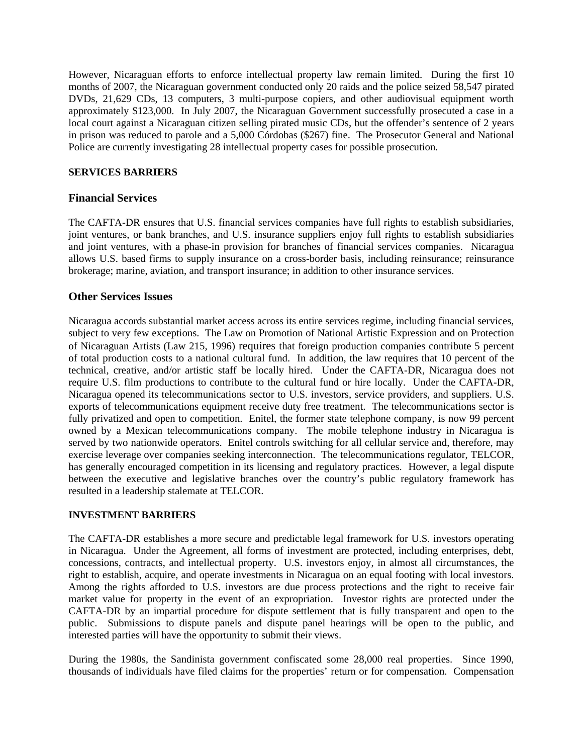However, Nicaraguan efforts to enforce intellectual property law remain limited. During the first 10 months of 2007, the Nicaraguan government conducted only 20 raids and the police seized 58,547 pirated DVDs, 21,629 CDs, 13 computers, 3 multi-purpose copiers, and other audiovisual equipment worth approximately \$123,000. In July 2007, the Nicaraguan Government successfully prosecuted a case in a local court against a Nicaraguan citizen selling pirated music CDs, but the offender's sentence of 2 years in prison was reduced to parole and a 5,000 Córdobas (\$267) fine. The Prosecutor General and National Police are currently investigating 28 intellectual property cases for possible prosecution.

## **SERVICES BARRIERS**

# **Financial Services**

The CAFTA-DR ensures that U.S. financial services companies have full rights to establish subsidiaries, joint ventures, or bank branches, and U.S. insurance suppliers enjoy full rights to establish subsidiaries and joint ventures, with a phase-in provision for branches of financial services companies. Nicaragua allows U.S. based firms to supply insurance on a cross-border basis, including reinsurance; reinsurance brokerage; marine, aviation, and transport insurance; in addition to other insurance services.

# **Other Services Issues**

Nicaragua accords substantial market access across its entire services regime, including financial services, subject to very few exceptions. The Law on Promotion of National Artistic Expression and on Protection of Nicaraguan Artists (Law 215, 1996) requires that foreign production companies contribute 5 percent of total production costs to a national cultural fund. In addition, the law requires that 10 percent of the technical, creative, and/or artistic staff be locally hired. Under the CAFTA-DR, Nicaragua does not require U.S. film productions to contribute to the cultural fund or hire locally. Under the CAFTA-DR, Nicaragua opened its telecommunications sector to U.S. investors, service providers, and suppliers. U.S. exports of telecommunications equipment receive duty free treatment. The telecommunications sector is fully privatized and open to competition. Enitel, the former state telephone company, is now 99 percent owned by a Mexican telecommunications company. The mobile telephone industry in Nicaragua is served by two nationwide operators. Enitel controls switching for all cellular service and, therefore, may exercise leverage over companies seeking interconnection. The telecommunications regulator, TELCOR, has generally encouraged competition in its licensing and regulatory practices. However, a legal dispute between the executive and legislative branches over the country's public regulatory framework has resulted in a leadership stalemate at TELCOR.

# **INVESTMENT BARRIERS**

The CAFTA-DR establishes a more secure and predictable legal framework for U.S. investors operating in Nicaragua. Under the Agreement, all forms of investment are protected, including enterprises, debt, concessions, contracts, and intellectual property. U.S. investors enjoy, in almost all circumstances, the right to establish, acquire, and operate investments in Nicaragua on an equal footing with local investors. Among the rights afforded to U.S. investors are due process protections and the right to receive fair market value for property in the event of an expropriation. Investor rights are protected under the CAFTA-DR by an impartial procedure for dispute settlement that is fully transparent and open to the public. Submissions to dispute panels and dispute panel hearings will be open to the public, and interested parties will have the opportunity to submit their views.

During the 1980s, the Sandinista government confiscated some 28,000 real properties. Since 1990, thousands of individuals have filed claims for the properties' return or for compensation. Compensation